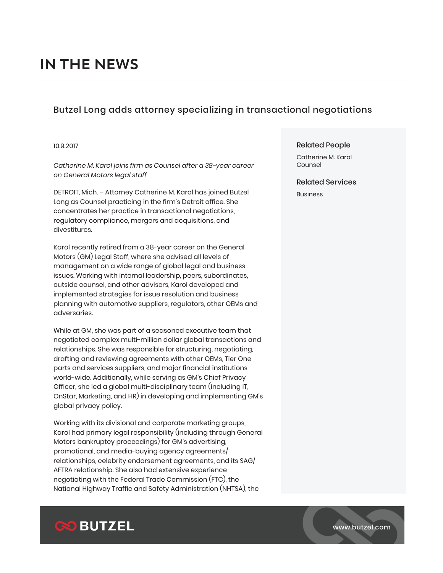# **IN THE NEWS**

## Butzel Long adds attorney specializing in transactional negotiations

#### 10.9.2017

*Catherine M. Karol joins firm as Counsel after a 38-year career on General Motors legal staff*

DETROIT, Mich. – Attorney Catherine M. Karol has joined Butzel Long as Counsel practicing in the firm's Detroit office. She concentrates her practice in transactional negotiations, regulatory compliance, mergers and acquisitions, and divestitures.

Karol recently retired from a 38-year career on the General Motors (GM) Legal Staff, where she advised all levels of management on a wide range of global legal and business issues. Working with internal leadership, peers, subordinates, outside counsel, and other advisers, Karol developed and implemented strategies for issue resolution and business planning with automotive suppliers, regulators, other OEMs and adversaries.

While at GM, she was part of a seasoned executive team that negotiated complex multi-million dollar global transactions and relationships. She was responsible for structuring, negotiating, drafting and reviewing agreements with other OEMs, Tier One parts and services suppliers, and major financial institutions world-wide. Additionally, while serving as GM's Chief Privacy Officer, she led a global multi-disciplinary team (including IT, OnStar, Marketing, and HR) in developing and implementing GM's global privacy policy.

Working with its divisional and corporate marketing groups, Karol had primary legal responsibility (including through General Motors bankruptcy proceedings) for GM's advertising, promotional, and media-buying agency agreements/ relationships, celebrity endorsement agreements, and its SAG/ AFTRA relationship. She also had extensive experience negotiating with the Federal Trade Commission (FTC), the National Highway Traffic and Safety Administration (NHTSA), the

#### Related People

Catherine M. Karol Counsel

#### Related Services

Business